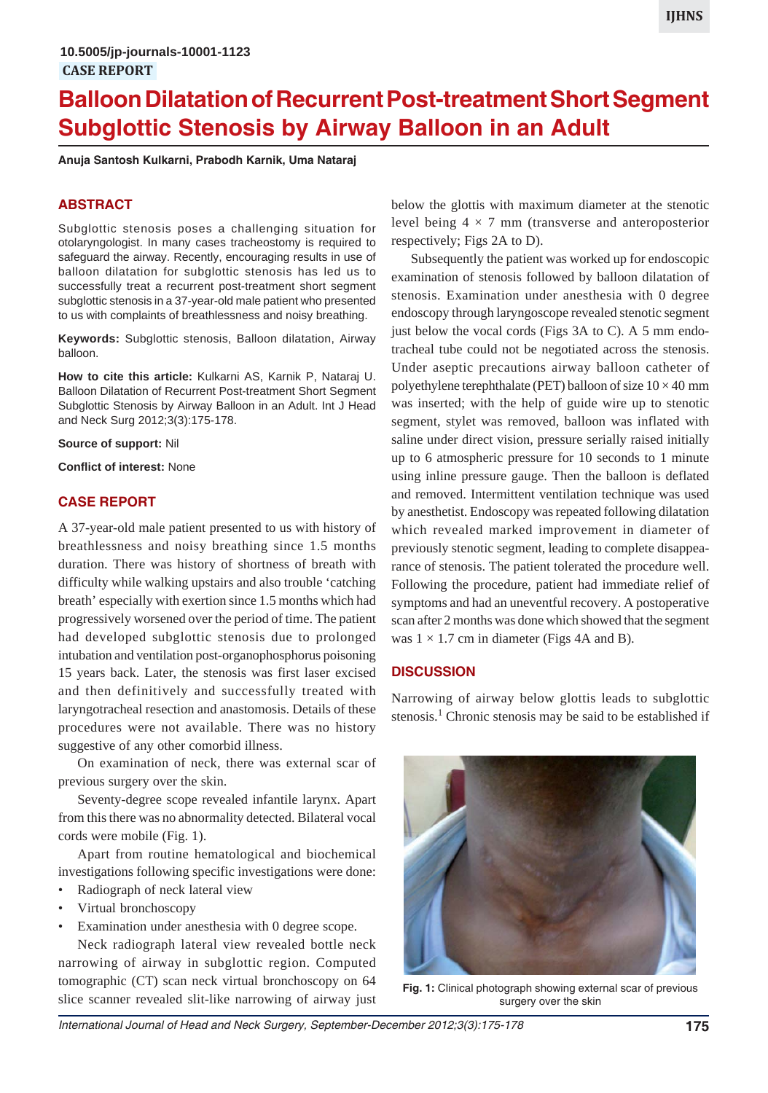# **Balloon Dilatation of Recurrent Post-treatment Short Segment Subglottic Stenosis by Airway Balloon in an Adult**

**Anuja Santosh Kulkarni, Prabodh Karnik, Uma Nataraj**

# **ABSTRACT**

Subglottic stenosis poses a challenging situation for otolaryngologist. In many cases tracheostomy is required to safeguard the airway. Recently, encouraging results in use of balloon dilatation for subglottic stenosis has led us to successfully treat a recurrent post-treatment short segment subglottic stenosis in a 37-year-old male patient who presented to us with complaints of breathlessness and noisy breathing.

**Keywords:** Subglottic stenosis, Balloon dilatation, Airway balloon.

**How to cite this article:** Kulkarni AS, Karnik P, Nataraj U. Balloon Dilatation of Recurrent Post-treatment Short Segment Subglottic Stenosis by Airway Balloon in an Adult. Int J Head and Neck Surg 2012;3(3):175-178.

**Source of support:** Nil

**Conflict of interest:** None

#### **CASE REPORT**

A 37-year-old male patient presented to us with history of breathlessness and noisy breathing since 1.5 months duration. There was history of shortness of breath with difficulty while walking upstairs and also trouble 'catching breath' especially with exertion since 1.5 months which had progressively worsened over the period of time. The patient had developed subglottic stenosis due to prolonged intubation and ventilation post-organophosphorus poisoning 15 years back. Later, the stenosis was first laser excised and then definitively and successfully treated with laryngotracheal resection and anastomosis. Details of these procedures were not available. There was no history suggestive of any other comorbid illness.

On examination of neck, there was external scar of previous surgery over the skin.

Seventy-degree scope revealed infantile larynx. Apart from this there was no abnormality detected. Bilateral vocal cords were mobile (Fig. 1).

Apart from routine hematological and biochemical investigations following specific investigations were done:

- Radiograph of neck lateral view
- Virtual bronchoscopy
- Examination under anesthesia with 0 degree scope.

Neck radiograph lateral view revealed bottle neck narrowing of airway in subglottic region. Computed tomographic (CT) scan neck virtual bronchoscopy on 64 slice scanner revealed slit-like narrowing of airway just

below the glottis with maximum diameter at the stenotic level being  $4 \times 7$  mm (transverse and anteroposterior respectively; Figs 2A to D).

Subsequently the patient was worked up for endoscopic examination of stenosis followed by balloon dilatation of stenosis. Examination under anesthesia with 0 degree endoscopy through laryngoscope revealed stenotic segment just below the vocal cords (Figs  $3A$  to C). A 5 mm endotracheal tube could not be negotiated across the stenosis. Under aseptic precautions airway balloon catheter of polyethylene terephthalate (PET) balloon of size  $10 \times 40$  mm was inserted; with the help of guide wire up to stenotic segment, stylet was removed, balloon was inflated with saline under direct vision, pressure serially raised initially up to 6 atmospheric pressure for 10 seconds to 1 minute using inline pressure gauge. Then the balloon is deflated and removed. Intermittent ventilation technique was used by anesthetist. Endoscopy was repeated following dilatation which revealed marked improvement in diameter of previously stenotic segment, leading to complete disappearance of stenosis. The patient tolerated the procedure well. Following the procedure, patient had immediate relief of symptoms and had an uneventful recovery. A postoperative scan after 2 months was done which showed that the segment was  $1 \times 1.7$  cm in diameter (Figs 4A and B).

#### **DISCUSSION**

Narrowing of airway below glottis leads to subglottic stenosis.<sup>1</sup> Chronic stenosis may be said to be established if



**Fig. 1:** Clinical photograph showing external scar of previous surgery over the skin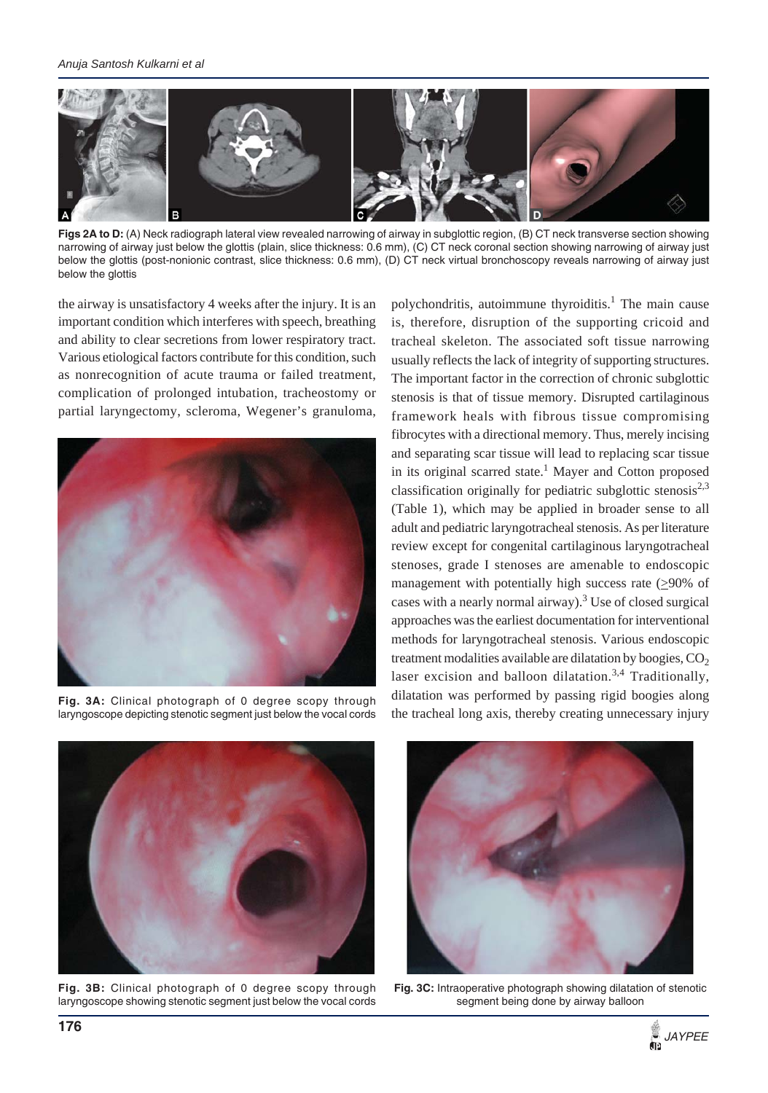

Figs 2A to D: (A) Neck radiograph lateral view revealed narrowing of airway in subglottic region, (B) CT neck transverse section showing narrowing of airway just below the glottis (plain, slice thickness: 0.6 mm), (C) CT neck coronal section showing narrowing of airway just below the glottis (post-nonionic contrast, slice thickness: 0.6 mm), (D) CT neck virtual bronchoscopy reveals narrowing of airway just below the glottis

the airway is unsatisfactory 4 weeks after the injury. It is an important condition which interferes with speech, breathing and ability to clear secretions from lower respiratory tract. Various etiological factors contribute for this condition, such as nonrecognition of acute trauma or failed treatment, complication of prolonged intubation, tracheostomy or partial laryngectomy, scleroma, Wegener's granuloma,



**Fig. 3A:** Clinical photograph of 0 degree scopy through laryngoscope depicting stenotic segment just below the vocal cords

polychondritis, autoimmune thyroiditis.<sup>1</sup> The main cause is, therefore, disruption of the supporting cricoid and tracheal skeleton. The associated soft tissue narrowing usually reflects the lack of integrity of supporting structures. The important factor in the correction of chronic subglottic stenosis is that of tissue memory. Disrupted cartilaginous framework heals with fibrous tissue compromising fibrocytes with a directional memory. Thus, merely incising and separating scar tissue will lead to replacing scar tissue in its original scarred state.<sup>1</sup> Mayer and Cotton proposed classification originally for pediatric subglottic stenosis<sup>2,3</sup> (Table 1), which may be applied in broader sense to all adult and pediatric laryngotracheal stenosis. As per literature review except for congenital cartilaginous laryngotracheal stenoses, grade I stenoses are amenable to endoscopic management with potentially high success rate  $(≥90%$  of cases with a nearly normal airway).<sup>3</sup> Use of closed surgical approaches was the earliest documentation for interventional methods for laryngotracheal stenosis. Various endoscopic treatment modalities available are dilatation by boogies,  $CO<sub>2</sub>$ laser excision and balloon dilatation.<sup>3,4</sup> Traditionally, dilatation was performed by passing rigid boogies along the tracheal long axis, thereby creating unnecessary injury



**Fig. 3B:** Clinical photograph of 0 degree scopy through laryngoscope showing stenotic segment just below the vocal cords



**Fig. 3C:** Intraoperative photograph showing dilatation of stenotic segment being done by airway balloon

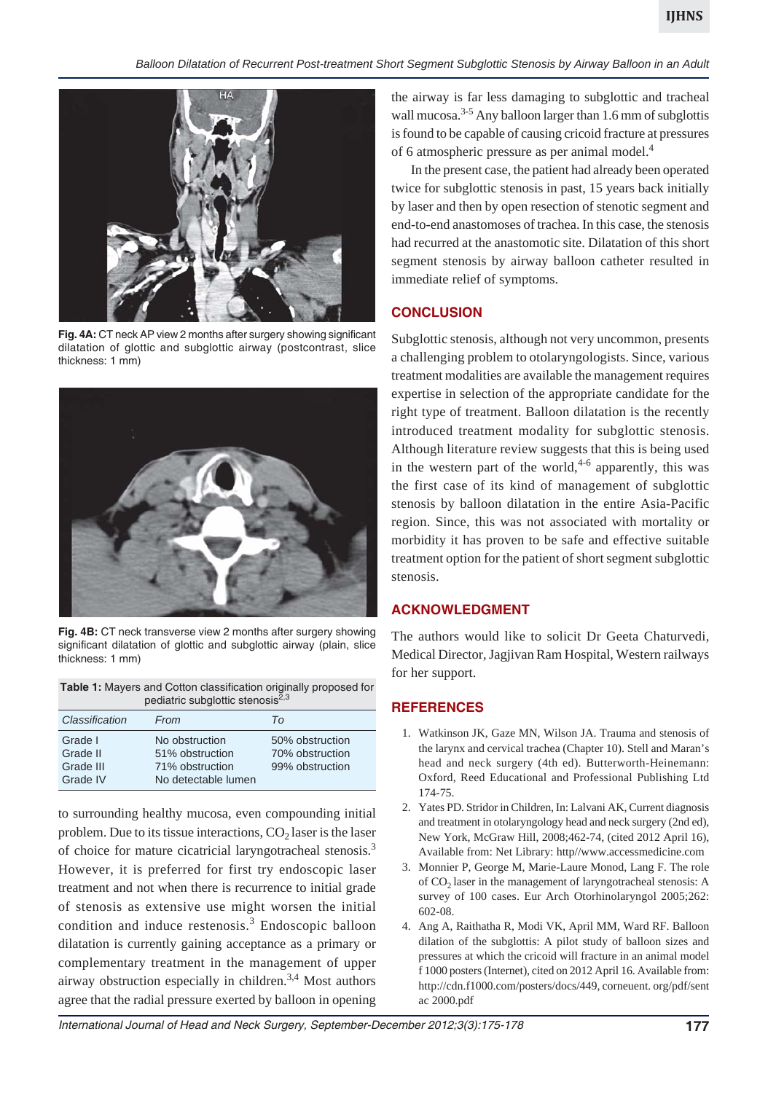

**Fig. 4A:** CT neck AP view 2 months after surgery showing significant dilatation of glottic and subglottic airway (postcontrast, slice thickness: 1 mm)



**Fig. 4B:** CT neck transverse view 2 months after surgery showing significant dilatation of glottic and subglottic airway (plain, slice thickness: 1 mm)

| <b>Table 1:</b> Mayers and Cotton classification originally proposed for |
|--------------------------------------------------------------------------|
| pediatric subglottic stenosis <sup>2,3</sup>                             |

| Classification                               | From                                                                        | Tο                                                    |
|----------------------------------------------|-----------------------------------------------------------------------------|-------------------------------------------------------|
| Grade I<br>Grade II<br>Grade III<br>Grade IV | No obstruction<br>51% obstruction<br>71% obstruction<br>No detectable lumen | 50% obstruction<br>70% obstruction<br>99% obstruction |

to surrounding healthy mucosa, even compounding initial problem. Due to its tissue interactions,  $CO<sub>2</sub>$  laser is the laser of choice for mature cicatricial laryngotracheal stenosis.3 However, it is preferred for first try endoscopic laser treatment and not when there is recurrence to initial grade of stenosis as extensive use might worsen the initial condition and induce restenosis.<sup>3</sup> Endoscopic balloon dilatation is currently gaining acceptance as a primary or complementary treatment in the management of upper airway obstruction especially in children.3,4 Most authors agree that the radial pressure exerted by balloon in opening

the airway is far less damaging to subglottic and tracheal wall mucosa.<sup>3-5</sup> Any balloon larger than 1.6 mm of subglottis is found to be capable of causing cricoid fracture at pressures of 6 atmospheric pressure as per animal model.4

In the present case, the patient had already been operated twice for subglottic stenosis in past, 15 years back initially by laser and then by open resection of stenotic segment and end-to-end anastomoses of trachea. In this case, the stenosis had recurred at the anastomotic site. Dilatation of this short segment stenosis by airway balloon catheter resulted in immediate relief of symptoms.

#### **CONCLUSION**

Subglottic stenosis, although not very uncommon, presents a challenging problem to otolaryngologists. Since, various treatment modalities are available the management requires expertise in selection of the appropriate candidate for the right type of treatment. Balloon dilatation is the recently introduced treatment modality for subglottic stenosis. Although literature review suggests that this is being used in the western part of the world,  $4-6$  apparently, this was the first case of its kind of management of subglottic stenosis by balloon dilatation in the entire Asia-Pacific region. Since, this was not associated with mortality or morbidity it has proven to be safe and effective suitable treatment option for the patient of short segment subglottic stenosis.

#### **ACKNOWLEDGMENT**

The authors would like to solicit Dr Geeta Chaturvedi, Medical Director, Jagjivan Ram Hospital, Western railways for her support.

#### **REFERENCES**

- 1. Watkinson JK, Gaze MN, Wilson JA. Trauma and stenosis of the larynx and cervical trachea (Chapter 10). Stell and Maran's head and neck surgery (4th ed). Butterworth-Heinemann: Oxford, Reed Educational and Professional Publishing Ltd 174-75.
- 2. Yates PD. Stridor in Children, In: Lalvani AK, Current diagnosis and treatment in otolaryngology head and neck surgery (2nd ed), New York, McGraw Hill, 2008;462-74, (cited 2012 April 16), Available from: Net Library: http//www.accessmedicine.com
- 3. Monnier P, George M, Marie-Laure Monod, Lang F. The role of  $CO<sub>2</sub>$  laser in the management of laryngotracheal stenosis: A survey of 100 cases. Eur Arch Otorhinolaryngol 2005;262: 602-08.
- 4. Ang A, Raithatha R, Modi VK, April MM, Ward RF. Balloon dilation of the subglottis: A pilot study of balloon sizes and pressures at which the cricoid will fracture in an animal model f 1000 posters (Internet), cited on 2012 April 16. Available from: http://cdn.f1000.com/posters/docs/449, corneuent. org/pdf/sent ac 2000.pdf